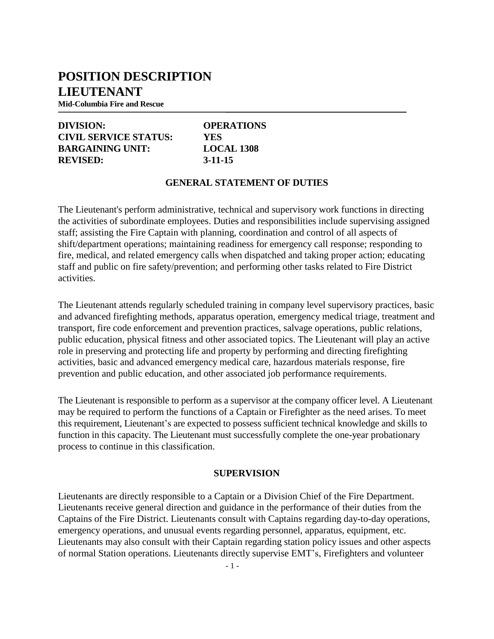# **POSITION DESCRIPTION LIEUTENANT**

**Mid-Columbia Fire and Rescue**

# **DIVISION: OPERATIONS CIVIL SERVICE STATUS: YES BARGAINING UNIT: LOCAL 1308 REVISED: 3-11-15**

#### **GENERAL STATEMENT OF DUTIES**

The Lieutenant's perform administrative, technical and supervisory work functions in directing the activities of subordinate employees. Duties and responsibilities include supervising assigned staff; assisting the Fire Captain with planning, coordination and control of all aspects of shift/department operations; maintaining readiness for emergency call response; responding to fire, medical, and related emergency calls when dispatched and taking proper action; educating staff and public on fire safety/prevention; and performing other tasks related to Fire District activities.

The Lieutenant attends regularly scheduled training in company level supervisory practices, basic and advanced firefighting methods, apparatus operation, emergency medical triage, treatment and transport, fire code enforcement and prevention practices, salvage operations, public relations, public education, physical fitness and other associated topics. The Lieutenant will play an active role in preserving and protecting life and property by performing and directing firefighting activities, basic and advanced emergency medical care, hazardous materials response, fire prevention and public education, and other associated job performance requirements.

The Lieutenant is responsible to perform as a supervisor at the company officer level. A Lieutenant may be required to perform the functions of a Captain or Firefighter as the need arises. To meet this requirement, Lieutenant's are expected to possess sufficient technical knowledge and skills to function in this capacity. The Lieutenant must successfully complete the one-year probationary process to continue in this classification.

#### **SUPERVISION**

Lieutenants are directly responsible to a Captain or a Division Chief of the Fire Department. Lieutenants receive general direction and guidance in the performance of their duties from the Captains of the Fire District. Lieutenants consult with Captains regarding day-to-day operations, emergency operations, and unusual events regarding personnel, apparatus, equipment, etc. Lieutenants may also consult with their Captain regarding station policy issues and other aspects of normal Station operations. Lieutenants directly supervise EMT's, Firefighters and volunteer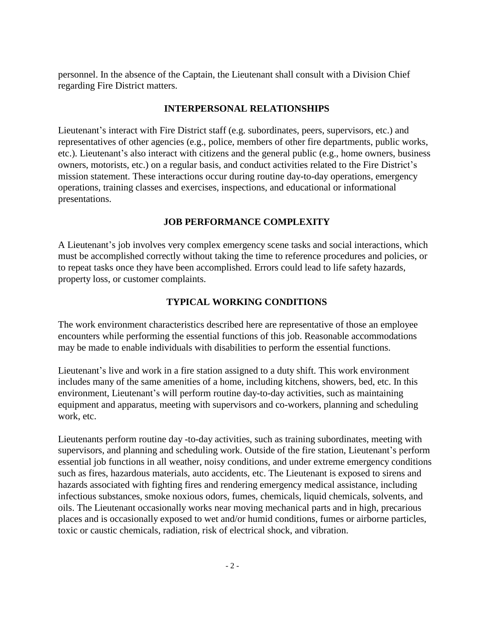personnel. In the absence of the Captain, the Lieutenant shall consult with a Division Chief regarding Fire District matters.

#### **INTERPERSONAL RELATIONSHIPS**

Lieutenant's interact with Fire District staff (e.g. subordinates, peers, supervisors, etc.) and representatives of other agencies (e.g., police, members of other fire departments, public works, etc.). Lieutenant's also interact with citizens and the general public (e.g., home owners, business owners, motorists, etc.) on a regular basis, and conduct activities related to the Fire District's mission statement. These interactions occur during routine day-to-day operations, emergency operations, training classes and exercises, inspections, and educational or informational presentations.

#### **JOB PERFORMANCE COMPLEXITY**

A Lieutenant's job involves very complex emergency scene tasks and social interactions, which must be accomplished correctly without taking the time to reference procedures and policies, or to repeat tasks once they have been accomplished. Errors could lead to life safety hazards, property loss, or customer complaints.

#### **TYPICAL WORKING CONDITIONS**

The work environment characteristics described here are representative of those an employee encounters while performing the essential functions of this job. Reasonable accommodations may be made to enable individuals with disabilities to perform the essential functions.

Lieutenant's live and work in a fire station assigned to a duty shift. This work environment includes many of the same amenities of a home, including kitchens, showers, bed, etc. In this environment, Lieutenant's will perform routine day-to-day activities, such as maintaining equipment and apparatus, meeting with supervisors and co-workers, planning and scheduling work, etc.

Lieutenants perform routine day -to-day activities, such as training subordinates, meeting with supervisors, and planning and scheduling work. Outside of the fire station, Lieutenant's perform essential job functions in all weather, noisy conditions, and under extreme emergency conditions such as fires, hazardous materials, auto accidents, etc. The Lieutenant is exposed to sirens and hazards associated with fighting fires and rendering emergency medical assistance, including infectious substances, smoke noxious odors, fumes, chemicals, liquid chemicals, solvents, and oils. The Lieutenant occasionally works near moving mechanical parts and in high, precarious places and is occasionally exposed to wet and/or humid conditions, fumes or airborne particles, toxic or caustic chemicals, radiation, risk of electrical shock, and vibration.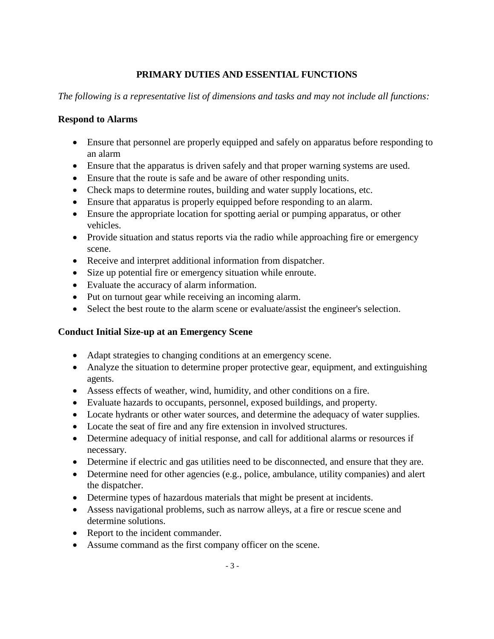# **PRIMARY DUTIES AND ESSENTIAL FUNCTIONS**

*The following is a representative list of dimensions and tasks and may not include all functions:*

#### **Respond to Alarms**

- Ensure that personnel are properly equipped and safely on apparatus before responding to an alarm
- Ensure that the apparatus is driven safely and that proper warning systems are used.
- Ensure that the route is safe and be aware of other responding units.
- Check maps to determine routes, building and water supply locations, etc.
- Ensure that apparatus is properly equipped before responding to an alarm.
- Ensure the appropriate location for spotting aerial or pumping apparatus, or other vehicles.
- Provide situation and status reports via the radio while approaching fire or emergency scene.
- Receive and interpret additional information from dispatcher.
- Size up potential fire or emergency situation while enroute.
- Evaluate the accuracy of alarm information.
- Put on turnout gear while receiving an incoming alarm.
- Select the best route to the alarm scene or evaluate/assist the engineer's selection.

#### **Conduct Initial Size-up at an Emergency Scene**

- Adapt strategies to changing conditions at an emergency scene.
- Analyze the situation to determine proper protective gear, equipment, and extinguishing agents.
- Assess effects of weather, wind, humidity, and other conditions on a fire.
- Evaluate hazards to occupants, personnel, exposed buildings, and property.
- Locate hydrants or other water sources, and determine the adequacy of water supplies.
- Locate the seat of fire and any fire extension in involved structures.
- Determine adequacy of initial response, and call for additional alarms or resources if necessary.
- Determine if electric and gas utilities need to be disconnected, and ensure that they are.
- Determine need for other agencies (e.g., police, ambulance, utility companies) and alert the dispatcher.
- Determine types of hazardous materials that might be present at incidents.
- Assess navigational problems, such as narrow alleys, at a fire or rescue scene and determine solutions.
- Report to the incident commander.
- Assume command as the first company officer on the scene.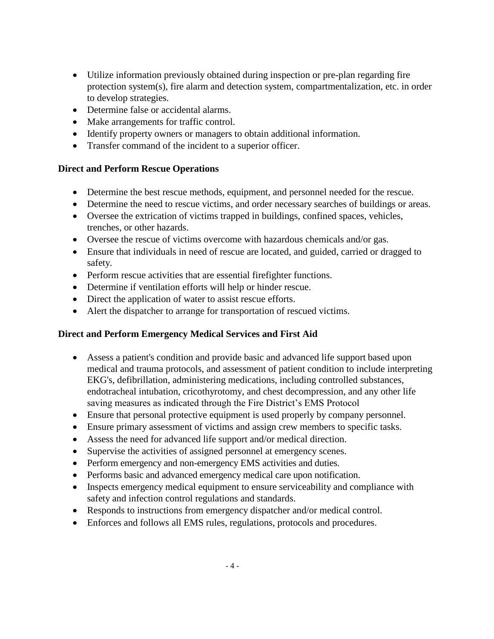- Utilize information previously obtained during inspection or pre-plan regarding fire protection system(s), fire alarm and detection system, compartmentalization, etc. in order to develop strategies.
- Determine false or accidental alarms.
- Make arrangements for traffic control.
- Identify property owners or managers to obtain additional information.
- Transfer command of the incident to a superior officer.

#### **Direct and Perform Rescue Operations**

- Determine the best rescue methods, equipment, and personnel needed for the rescue.
- Determine the need to rescue victims, and order necessary searches of buildings or areas.
- Oversee the extrication of victims trapped in buildings, confined spaces, vehicles, trenches, or other hazards.
- Oversee the rescue of victims overcome with hazardous chemicals and/or gas.
- Ensure that individuals in need of rescue are located, and guided, carried or dragged to safety.
- Perform rescue activities that are essential firefighter functions.
- Determine if ventilation efforts will help or hinder rescue.
- Direct the application of water to assist rescue efforts.
- Alert the dispatcher to arrange for transportation of rescued victims.

#### **Direct and Perform Emergency Medical Services and First Aid**

- Assess a patient's condition and provide basic and advanced life support based upon medical and trauma protocols, and assessment of patient condition to include interpreting EKG's, defibrillation, administering medications, including controlled substances, endotracheal intubation, cricothyrotomy, and chest decompression, and any other life saving measures as indicated through the Fire District's EMS Protocol
- Ensure that personal protective equipment is used properly by company personnel.
- Ensure primary assessment of victims and assign crew members to specific tasks.
- Assess the need for advanced life support and/or medical direction.
- Supervise the activities of assigned personnel at emergency scenes.
- Perform emergency and non-emergency EMS activities and duties.
- Performs basic and advanced emergency medical care upon notification.
- Inspects emergency medical equipment to ensure serviceability and compliance with safety and infection control regulations and standards.
- Responds to instructions from emergency dispatcher and/or medical control.
- Enforces and follows all EMS rules, regulations, protocols and procedures.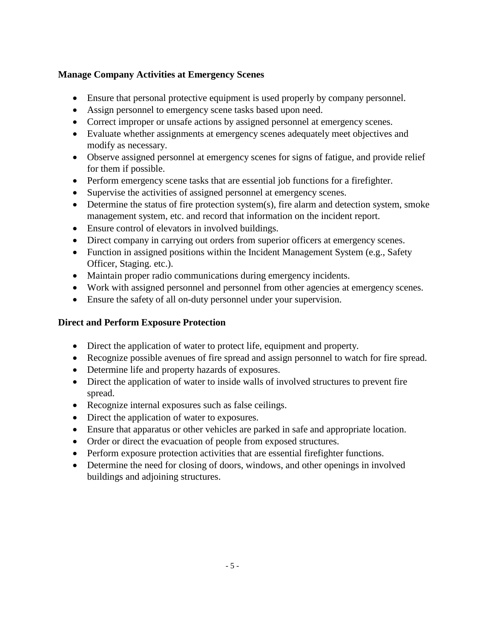# **Manage Company Activities at Emergency Scenes**

- Ensure that personal protective equipment is used properly by company personnel.
- Assign personnel to emergency scene tasks based upon need.
- Correct improper or unsafe actions by assigned personnel at emergency scenes.
- Evaluate whether assignments at emergency scenes adequately meet objectives and modify as necessary.
- Observe assigned personnel at emergency scenes for signs of fatigue, and provide relief for them if possible.
- Perform emergency scene tasks that are essential job functions for a firefighter.
- Supervise the activities of assigned personnel at emergency scenes.
- Determine the status of fire protection system(s), fire alarm and detection system, smoke management system, etc. and record that information on the incident report.
- Ensure control of elevators in involved buildings.
- Direct company in carrying out orders from superior officers at emergency scenes.
- Function in assigned positions within the Incident Management System (e.g., Safety Officer, Staging. etc.).
- Maintain proper radio communications during emergency incidents.
- Work with assigned personnel and personnel from other agencies at emergency scenes.
- Ensure the safety of all on-duty personnel under your supervision.

# **Direct and Perform Exposure Protection**

- Direct the application of water to protect life, equipment and property.
- Recognize possible avenues of fire spread and assign personnel to watch for fire spread.
- Determine life and property hazards of exposures.
- Direct the application of water to inside walls of involved structures to prevent fire spread.
- Recognize internal exposures such as false ceilings.
- Direct the application of water to exposures.
- Ensure that apparatus or other vehicles are parked in safe and appropriate location.
- Order or direct the evacuation of people from exposed structures.
- Perform exposure protection activities that are essential firefighter functions.
- Determine the need for closing of doors, windows, and other openings in involved buildings and adjoining structures.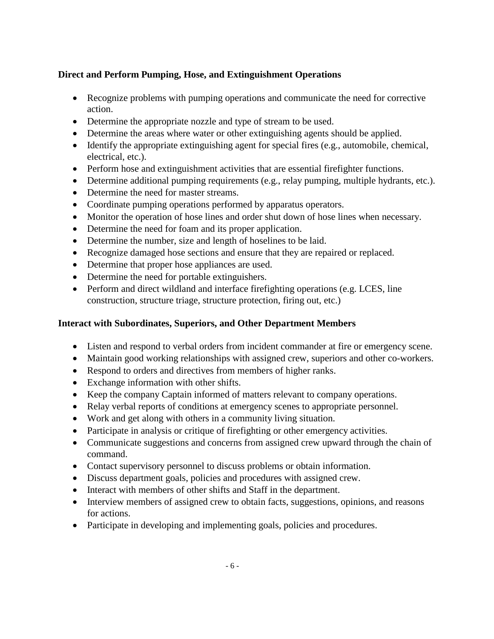# **Direct and Perform Pumping, Hose, and Extinguishment Operations**

- Recognize problems with pumping operations and communicate the need for corrective action.
- Determine the appropriate nozzle and type of stream to be used.
- Determine the areas where water or other extinguishing agents should be applied.
- Identify the appropriate extinguishing agent for special fires (e.g., automobile, chemical, electrical, etc.).
- Perform hose and extinguishment activities that are essential firefighter functions.
- Determine additional pumping requirements (e.g., relay pumping, multiple hydrants, etc.).
- Determine the need for master streams.
- Coordinate pumping operations performed by apparatus operators.
- Monitor the operation of hose lines and order shut down of hose lines when necessary.
- Determine the need for foam and its proper application.
- Determine the number, size and length of hoselines to be laid.
- Recognize damaged hose sections and ensure that they are repaired or replaced.
- Determine that proper hose appliances are used.
- Determine the need for portable extinguishers.
- Perform and direct wildland and interface firefighting operations (e.g. LCES, line construction, structure triage, structure protection, firing out, etc.)

### **Interact with Subordinates, Superiors, and Other Department Members**

- Listen and respond to verbal orders from incident commander at fire or emergency scene.
- Maintain good working relationships with assigned crew, superiors and other co-workers.
- Respond to orders and directives from members of higher ranks.
- Exchange information with other shifts.
- Keep the company Captain informed of matters relevant to company operations.
- Relay verbal reports of conditions at emergency scenes to appropriate personnel.
- Work and get along with others in a community living situation.
- Participate in analysis or critique of firefighting or other emergency activities.
- Communicate suggestions and concerns from assigned crew upward through the chain of command.
- Contact supervisory personnel to discuss problems or obtain information.
- Discuss department goals, policies and procedures with assigned crew.
- Interact with members of other shifts and Staff in the department.
- Interview members of assigned crew to obtain facts, suggestions, opinions, and reasons for actions.
- Participate in developing and implementing goals, policies and procedures.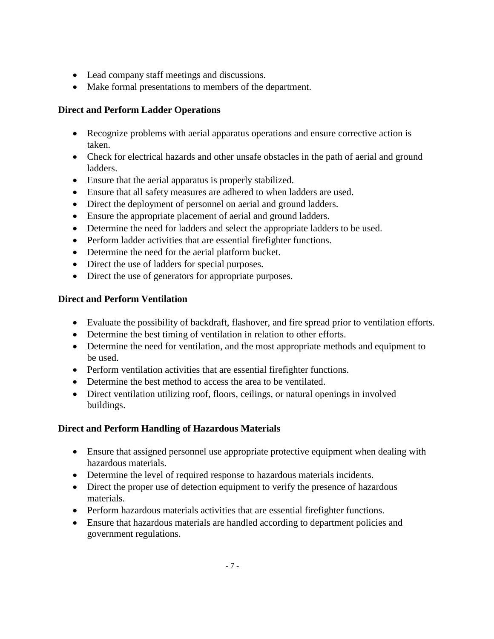- Lead company staff meetings and discussions.
- Make formal presentations to members of the department.

# **Direct and Perform Ladder Operations**

- Recognize problems with aerial apparatus operations and ensure corrective action is taken.
- Check for electrical hazards and other unsafe obstacles in the path of aerial and ground ladders.
- Ensure that the aerial apparatus is properly stabilized.
- Ensure that all safety measures are adhered to when ladders are used.
- Direct the deployment of personnel on aerial and ground ladders.
- Ensure the appropriate placement of aerial and ground ladders.
- Determine the need for ladders and select the appropriate ladders to be used.
- Perform ladder activities that are essential firefighter functions.
- Determine the need for the aerial platform bucket.
- Direct the use of ladders for special purposes.
- Direct the use of generators for appropriate purposes.

# **Direct and Perform Ventilation**

- Evaluate the possibility of backdraft, flashover, and fire spread prior to ventilation efforts.
- Determine the best timing of ventilation in relation to other efforts.
- Determine the need for ventilation, and the most appropriate methods and equipment to be used.
- Perform ventilation activities that are essential firefighter functions.
- Determine the best method to access the area to be ventilated.
- Direct ventilation utilizing roof, floors, ceilings, or natural openings in involved buildings.

# **Direct and Perform Handling of Hazardous Materials**

- Ensure that assigned personnel use appropriate protective equipment when dealing with hazardous materials.
- Determine the level of required response to hazardous materials incidents.
- Direct the proper use of detection equipment to verify the presence of hazardous materials.
- Perform hazardous materials activities that are essential firefighter functions.
- Ensure that hazardous materials are handled according to department policies and government regulations.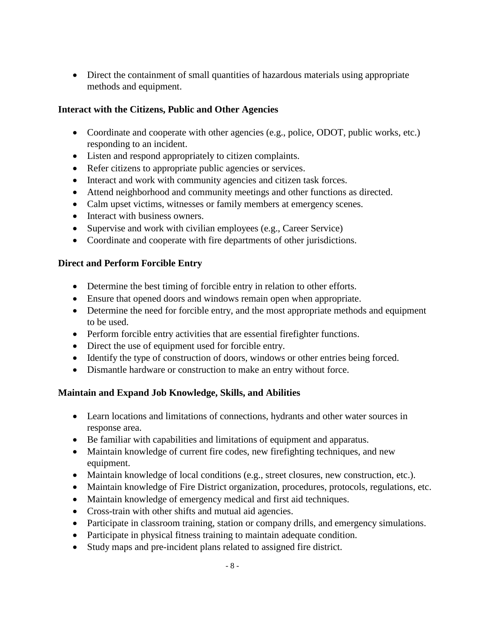Direct the containment of small quantities of hazardous materials using appropriate methods and equipment.

# **Interact with the Citizens, Public and Other Agencies**

- Coordinate and cooperate with other agencies (e.g., police, ODOT, public works, etc.) responding to an incident.
- Listen and respond appropriately to citizen complaints.
- Refer citizens to appropriate public agencies or services.
- Interact and work with community agencies and citizen task forces.
- Attend neighborhood and community meetings and other functions as directed.
- Calm upset victims, witnesses or family members at emergency scenes.
- Interact with business owners.
- Supervise and work with civilian employees (e.g., Career Service)
- Coordinate and cooperate with fire departments of other jurisdictions.

# **Direct and Perform Forcible Entry**

- Determine the best timing of forcible entry in relation to other efforts.
- Ensure that opened doors and windows remain open when appropriate.
- Determine the need for forcible entry, and the most appropriate methods and equipment to be used.
- Perform forcible entry activities that are essential firefighter functions.
- Direct the use of equipment used for forcible entry.
- Identify the type of construction of doors, windows or other entries being forced.
- Dismantle hardware or construction to make an entry without force.

# **Maintain and Expand Job Knowledge, Skills, and Abilities**

- Learn locations and limitations of connections, hydrants and other water sources in response area.
- Be familiar with capabilities and limitations of equipment and apparatus.
- Maintain knowledge of current fire codes, new firefighting techniques, and new equipment.
- Maintain knowledge of local conditions (e.g., street closures, new construction, etc.).
- Maintain knowledge of Fire District organization, procedures, protocols, regulations, etc.
- Maintain knowledge of emergency medical and first aid techniques.
- Cross-train with other shifts and mutual aid agencies.
- Participate in classroom training, station or company drills, and emergency simulations.
- Participate in physical fitness training to maintain adequate condition.
- Study maps and pre-incident plans related to assigned fire district.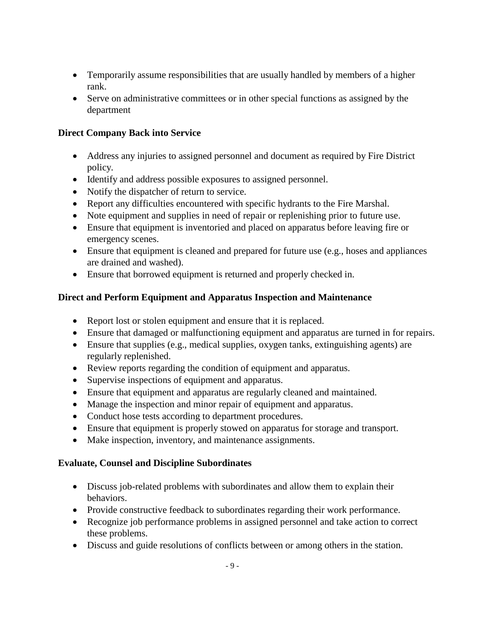- Temporarily assume responsibilities that are usually handled by members of a higher rank.
- Serve on administrative committees or in other special functions as assigned by the department

# **Direct Company Back into Service**

- Address any injuries to assigned personnel and document as required by Fire District policy.
- Identify and address possible exposures to assigned personnel.
- Notify the dispatcher of return to service.
- Report any difficulties encountered with specific hydrants to the Fire Marshal.
- Note equipment and supplies in need of repair or replenishing prior to future use.
- Ensure that equipment is inventoried and placed on apparatus before leaving fire or emergency scenes.
- Ensure that equipment is cleaned and prepared for future use (e.g., hoses and appliances are drained and washed).
- Ensure that borrowed equipment is returned and properly checked in.

# **Direct and Perform Equipment and Apparatus Inspection and Maintenance**

- Report lost or stolen equipment and ensure that it is replaced.
- Ensure that damaged or malfunctioning equipment and apparatus are turned in for repairs.
- Ensure that supplies (e.g., medical supplies, oxygen tanks, extinguishing agents) are regularly replenished.
- Review reports regarding the condition of equipment and apparatus.
- Supervise inspections of equipment and apparatus.
- Ensure that equipment and apparatus are regularly cleaned and maintained.
- Manage the inspection and minor repair of equipment and apparatus.
- Conduct hose tests according to department procedures.
- Ensure that equipment is properly stowed on apparatus for storage and transport.
- Make inspection, inventory, and maintenance assignments.

#### **Evaluate, Counsel and Discipline Subordinates**

- Discuss job-related problems with subordinates and allow them to explain their behaviors.
- Provide constructive feedback to subordinates regarding their work performance.
- Recognize job performance problems in assigned personnel and take action to correct these problems.
- Discuss and guide resolutions of conflicts between or among others in the station.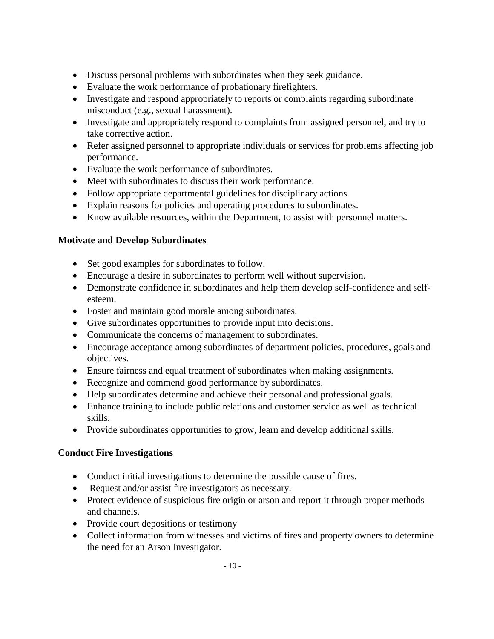- Discuss personal problems with subordinates when they seek guidance.
- Evaluate the work performance of probationary firefighters.
- Investigate and respond appropriately to reports or complaints regarding subordinate misconduct (e.g., sexual harassment).
- Investigate and appropriately respond to complaints from assigned personnel, and try to take corrective action.
- Refer assigned personnel to appropriate individuals or services for problems affecting job performance.
- Evaluate the work performance of subordinates.
- Meet with subordinates to discuss their work performance.
- Follow appropriate departmental guidelines for disciplinary actions.
- Explain reasons for policies and operating procedures to subordinates.
- Know available resources, within the Department, to assist with personnel matters.

#### **Motivate and Develop Subordinates**

- Set good examples for subordinates to follow.
- Encourage a desire in subordinates to perform well without supervision.
- Demonstrate confidence in subordinates and help them develop self-confidence and selfesteem.
- Foster and maintain good morale among subordinates.
- Give subordinates opportunities to provide input into decisions.
- Communicate the concerns of management to subordinates.
- Encourage acceptance among subordinates of department policies, procedures, goals and objectives.
- Ensure fairness and equal treatment of subordinates when making assignments.
- Recognize and commend good performance by subordinates.
- Help subordinates determine and achieve their personal and professional goals.
- Enhance training to include public relations and customer service as well as technical skills.
- Provide subordinates opportunities to grow, learn and develop additional skills.

#### **Conduct Fire Investigations**

- Conduct initial investigations to determine the possible cause of fires.
- Request and/or assist fire investigators as necessary.
- Protect evidence of suspicious fire origin or arson and report it through proper methods and channels.
- Provide court depositions or testimony
- Collect information from witnesses and victims of fires and property owners to determine the need for an Arson Investigator.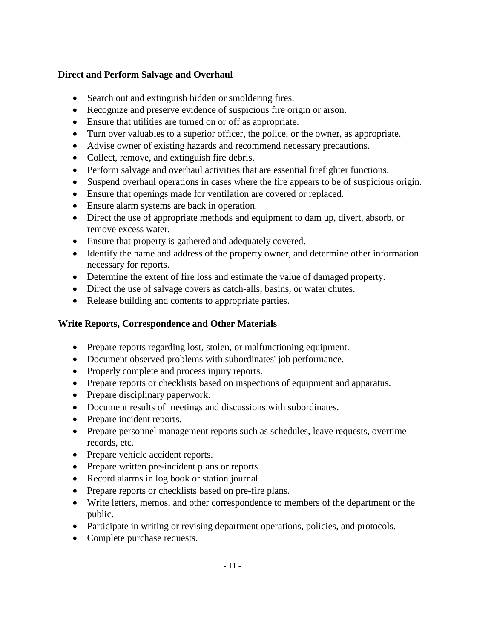#### **Direct and Perform Salvage and Overhaul**

- Search out and extinguish hidden or smoldering fires.
- Recognize and preserve evidence of suspicious fire origin or arson.
- Ensure that utilities are turned on or off as appropriate.
- Turn over valuables to a superior officer, the police, or the owner, as appropriate.
- Advise owner of existing hazards and recommend necessary precautions.
- Collect, remove, and extinguish fire debris.
- Perform salvage and overhaul activities that are essential firefighter functions.
- Suspend overhaul operations in cases where the fire appears to be of suspicious origin.
- Ensure that openings made for ventilation are covered or replaced.
- Ensure alarm systems are back in operation.
- Direct the use of appropriate methods and equipment to dam up, divert, absorb, or remove excess water.
- Ensure that property is gathered and adequately covered.
- Identify the name and address of the property owner, and determine other information necessary for reports.
- Determine the extent of fire loss and estimate the value of damaged property.
- Direct the use of salvage covers as catch-alls, basins, or water chutes.
- Release building and contents to appropriate parties.

# **Write Reports, Correspondence and Other Materials**

- Prepare reports regarding lost, stolen, or malfunctioning equipment.
- Document observed problems with subordinates' job performance.
- Properly complete and process injury reports.
- Prepare reports or checklists based on inspections of equipment and apparatus.
- Prepare disciplinary paperwork.
- Document results of meetings and discussions with subordinates.
- Prepare incident reports.
- Prepare personnel management reports such as schedules, leave requests, overtime records, etc.
- Prepare vehicle accident reports.
- Prepare written pre-incident plans or reports.
- Record alarms in log book or station journal
- Prepare reports or checklists based on pre-fire plans.
- Write letters, memos, and other correspondence to members of the department or the public.
- Participate in writing or revising department operations, policies, and protocols.
- Complete purchase requests.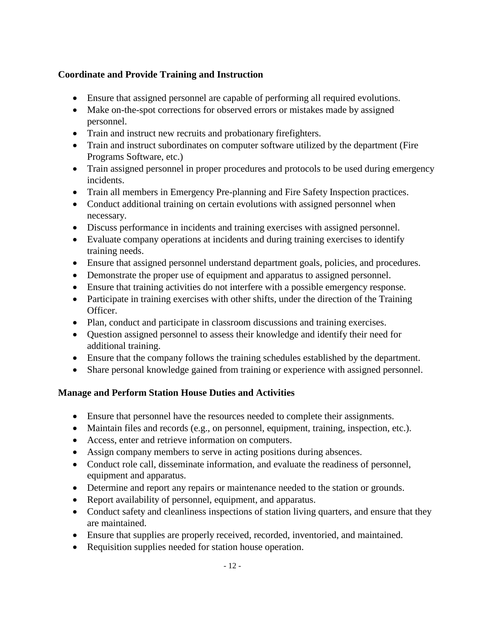# **Coordinate and Provide Training and Instruction**

- Ensure that assigned personnel are capable of performing all required evolutions.
- Make on-the-spot corrections for observed errors or mistakes made by assigned personnel.
- Train and instruct new recruits and probationary firefighters.
- Train and instruct subordinates on computer software utilized by the department (Fire Programs Software, etc.)
- Train assigned personnel in proper procedures and protocols to be used during emergency incidents.
- Train all members in Emergency Pre-planning and Fire Safety Inspection practices.
- Conduct additional training on certain evolutions with assigned personnel when necessary.
- Discuss performance in incidents and training exercises with assigned personnel.
- Evaluate company operations at incidents and during training exercises to identify training needs.
- Ensure that assigned personnel understand department goals, policies, and procedures.
- Demonstrate the proper use of equipment and apparatus to assigned personnel.
- Ensure that training activities do not interfere with a possible emergency response.
- Participate in training exercises with other shifts, under the direction of the Training Officer.
- Plan, conduct and participate in classroom discussions and training exercises.
- Question assigned personnel to assess their knowledge and identify their need for additional training.
- Ensure that the company follows the training schedules established by the department.
- Share personal knowledge gained from training or experience with assigned personnel.

#### **Manage and Perform Station House Duties and Activities**

- Ensure that personnel have the resources needed to complete their assignments.
- Maintain files and records (e.g., on personnel, equipment, training, inspection, etc.).
- Access, enter and retrieve information on computers.
- Assign company members to serve in acting positions during absences.
- Conduct role call, disseminate information, and evaluate the readiness of personnel, equipment and apparatus.
- Determine and report any repairs or maintenance needed to the station or grounds.
- Report availability of personnel, equipment, and apparatus.
- Conduct safety and cleanliness inspections of station living quarters, and ensure that they are maintained.
- Ensure that supplies are properly received, recorded, inventoried, and maintained.
- Requisition supplies needed for station house operation.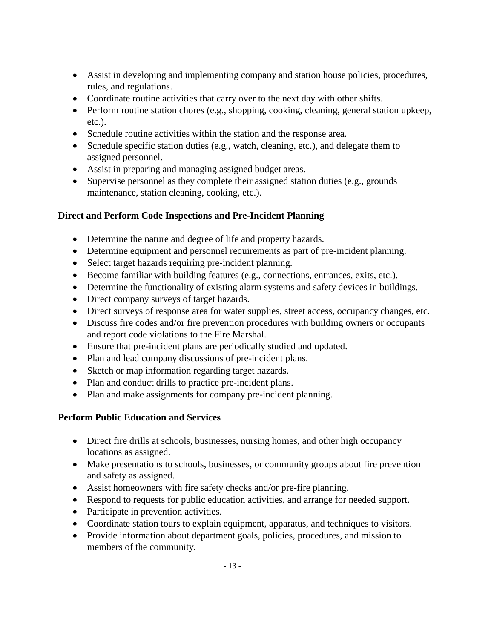- Assist in developing and implementing company and station house policies, procedures, rules, and regulations.
- Coordinate routine activities that carry over to the next day with other shifts.
- Perform routine station chores (e.g., shopping, cooking, cleaning, general station upkeep, etc.).
- Schedule routine activities within the station and the response area.
- Schedule specific station duties (e.g., watch, cleaning, etc.), and delegate them to assigned personnel.
- Assist in preparing and managing assigned budget areas.
- Supervise personnel as they complete their assigned station duties (e.g., grounds maintenance, station cleaning, cooking, etc.).

# **Direct and Perform Code Inspections and Pre-Incident Planning**

- Determine the nature and degree of life and property hazards.
- Determine equipment and personnel requirements as part of pre-incident planning.
- Select target hazards requiring pre-incident planning.
- Become familiar with building features (e.g., connections, entrances, exits, etc.).
- Determine the functionality of existing alarm systems and safety devices in buildings.
- Direct company surveys of target hazards.
- Direct surveys of response area for water supplies, street access, occupancy changes, etc.
- Discuss fire codes and/or fire prevention procedures with building owners or occupants and report code violations to the Fire Marshal.
- Ensure that pre-incident plans are periodically studied and updated.
- Plan and lead company discussions of pre-incident plans.
- Sketch or map information regarding target hazards.
- Plan and conduct drills to practice pre-incident plans.
- Plan and make assignments for company pre-incident planning.

# **Perform Public Education and Services**

- Direct fire drills at schools, businesses, nursing homes, and other high occupancy locations as assigned.
- Make presentations to schools, businesses, or community groups about fire prevention and safety as assigned.
- Assist homeowners with fire safety checks and/or pre-fire planning.
- Respond to requests for public education activities, and arrange for needed support.
- Participate in prevention activities.
- Coordinate station tours to explain equipment, apparatus, and techniques to visitors.
- Provide information about department goals, policies, procedures, and mission to members of the community.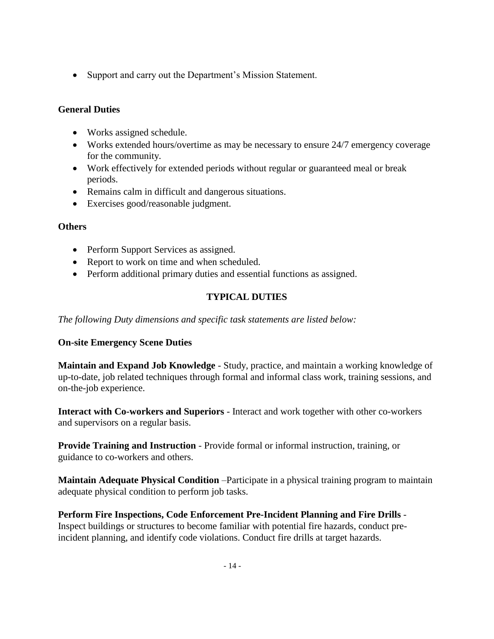• Support and carry out the Department's Mission Statement.

# **General Duties**

- Works assigned schedule.
- Works extended hours/overtime as may be necessary to ensure 24/7 emergency coverage for the community.
- Work effectively for extended periods without regular or guaranteed meal or break periods.
- Remains calm in difficult and dangerous situations.
- Exercises good/reasonable judgment.

#### **Others**

- Perform Support Services as assigned.
- Report to work on time and when scheduled.
- Perform additional primary duties and essential functions as assigned.

# **TYPICAL DUTIES**

*The following Duty dimensions and specific task statements are listed below:*

#### **On-site Emergency Scene Duties**

**Maintain and Expand Job Knowledge** - Study, practice, and maintain a working knowledge of up-to-date, job related techniques through formal and informal class work, training sessions, and on-the-job experience.

**Interact with Co-workers and Superiors** - Interact and work together with other co-workers and supervisors on a regular basis.

**Provide Training and Instruction** - Provide formal or informal instruction, training, or guidance to co-workers and others.

**Maintain Adequate Physical Condition** –Participate in a physical training program to maintain adequate physical condition to perform job tasks.

**Perform Fire Inspections, Code Enforcement Pre-Incident Planning and Fire Drills** - Inspect buildings or structures to become familiar with potential fire hazards, conduct preincident planning, and identify code violations. Conduct fire drills at target hazards.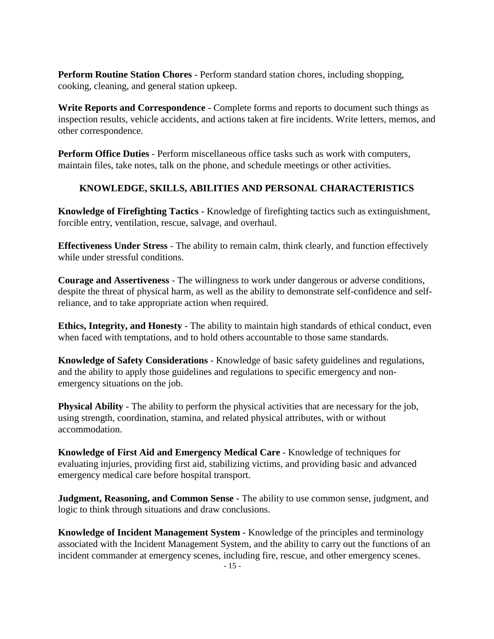**Perform Routine Station Chores** - Perform standard station chores, including shopping, cooking, cleaning, and general station upkeep.

**Write Reports and Correspondence** - Complete forms and reports to document such things as inspection results, vehicle accidents, and actions taken at fire incidents. Write letters, memos, and other correspondence.

**Perform Office Duties** - Perform miscellaneous office tasks such as work with computers, maintain files, take notes, talk on the phone, and schedule meetings or other activities.

# **KNOWLEDGE, SKILLS, ABILITIES AND PERSONAL CHARACTERISTICS**

**Knowledge of Firefighting Tactics** - Knowledge of firefighting tactics such as extinguishment, forcible entry, ventilation, rescue, salvage, and overhaul.

**Effectiveness Under Stress** - The ability to remain calm, think clearly, and function effectively while under stressful conditions.

**Courage and Assertiveness** - The willingness to work under dangerous or adverse conditions, despite the threat of physical harm, as well as the ability to demonstrate self-confidence and selfreliance, and to take appropriate action when required.

**Ethics, Integrity, and Honesty** - The ability to maintain high standards of ethical conduct, even when faced with temptations, and to hold others accountable to those same standards.

**Knowledge of Safety Considerations** - Knowledge of basic safety guidelines and regulations, and the ability to apply those guidelines and regulations to specific emergency and nonemergency situations on the job.

**Physical Ability** - The ability to perform the physical activities that are necessary for the job, using strength, coordination, stamina, and related physical attributes, with or without accommodation.

**Knowledge of First Aid and Emergency Medical Care** - Knowledge of techniques for evaluating injuries, providing first aid, stabilizing victims, and providing basic and advanced emergency medical care before hospital transport.

**Judgment, Reasoning, and Common Sense** - The ability to use common sense, judgment, and logic to think through situations and draw conclusions.

**Knowledge of Incident Management System** - Knowledge of the principles and terminology associated with the Incident Management System, and the ability to carry out the functions of an incident commander at emergency scenes, including fire, rescue, and other emergency scenes.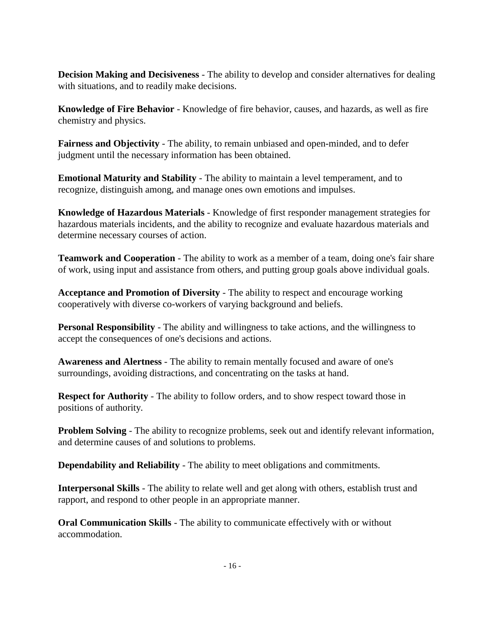**Decision Making and Decisiveness** - The ability to develop and consider alternatives for dealing with situations, and to readily make decisions.

**Knowledge of Fire Behavior** - Knowledge of fire behavior, causes, and hazards, as well as fire chemistry and physics.

**Fairness and Objectivity** - The ability, to remain unbiased and open-minded, and to defer judgment until the necessary information has been obtained.

**Emotional Maturity and Stability** - The ability to maintain a level temperament, and to recognize, distinguish among, and manage ones own emotions and impulses.

**Knowledge of Hazardous Materials** - Knowledge of first responder management strategies for hazardous materials incidents, and the ability to recognize and evaluate hazardous materials and determine necessary courses of action.

**Teamwork and Cooperation** - The ability to work as a member of a team, doing one's fair share of work, using input and assistance from others, and putting group goals above individual goals.

**Acceptance and Promotion of Diversity** - The ability to respect and encourage working cooperatively with diverse co-workers of varying background and beliefs.

**Personal Responsibility** - The ability and willingness to take actions, and the willingness to accept the consequences of one's decisions and actions.

**Awareness and Alertness** - The ability to remain mentally focused and aware of one's surroundings, avoiding distractions, and concentrating on the tasks at hand.

**Respect for Authority** - The ability to follow orders, and to show respect toward those in positions of authority.

**Problem Solving** - The ability to recognize problems, seek out and identify relevant information, and determine causes of and solutions to problems.

**Dependability and Reliability** - The ability to meet obligations and commitments.

**Interpersonal Skills** - The ability to relate well and get along with others, establish trust and rapport, and respond to other people in an appropriate manner.

**Oral Communication Skills** - The ability to communicate effectively with or without accommodation.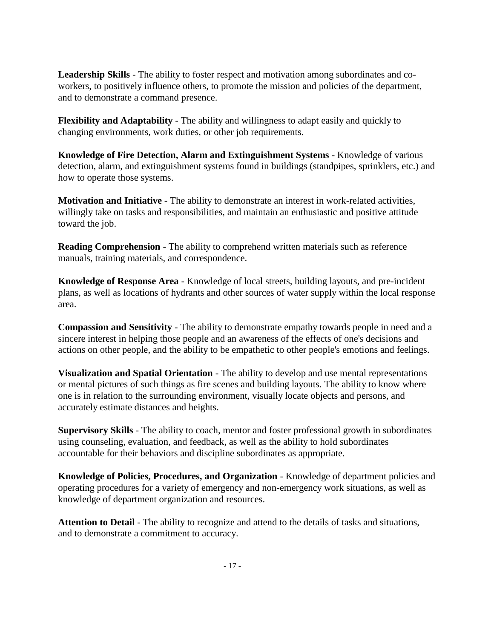**Leadership Skills** - The ability to foster respect and motivation among subordinates and coworkers, to positively influence others, to promote the mission and policies of the department, and to demonstrate a command presence.

**Flexibility and Adaptability** - The ability and willingness to adapt easily and quickly to changing environments, work duties, or other job requirements.

**Knowledge of Fire Detection, Alarm and Extinguishment Systems** - Knowledge of various detection, alarm, and extinguishment systems found in buildings (standpipes, sprinklers, etc.) and how to operate those systems.

**Motivation and Initiative** - The ability to demonstrate an interest in work-related activities, willingly take on tasks and responsibilities, and maintain an enthusiastic and positive attitude toward the job.

**Reading Comprehension** - The ability to comprehend written materials such as reference manuals, training materials, and correspondence.

**Knowledge of Response Area** - Knowledge of local streets, building layouts, and pre-incident plans, as well as locations of hydrants and other sources of water supply within the local response area.

**Compassion and Sensitivity** - The ability to demonstrate empathy towards people in need and a sincere interest in helping those people and an awareness of the effects of one's decisions and actions on other people, and the ability to be empathetic to other people's emotions and feelings.

**Visualization and Spatial Orientation** - The ability to develop and use mental representations or mental pictures of such things as fire scenes and building layouts. The ability to know where one is in relation to the surrounding environment, visually locate objects and persons, and accurately estimate distances and heights.

**Supervisory Skills** - The ability to coach, mentor and foster professional growth in subordinates using counseling, evaluation, and feedback, as well as the ability to hold subordinates accountable for their behaviors and discipline subordinates as appropriate.

**Knowledge of Policies, Procedures, and Organization** - Knowledge of department policies and operating procedures for a variety of emergency and non-emergency work situations, as well as knowledge of department organization and resources.

**Attention to Detail** - The ability to recognize and attend to the details of tasks and situations, and to demonstrate a commitment to accuracy.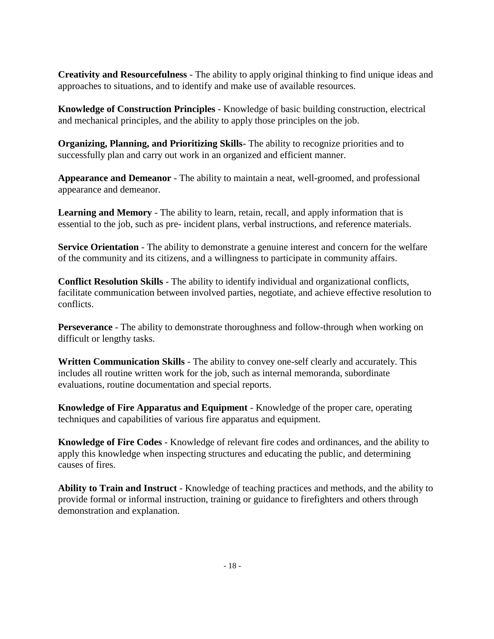**Creativity and Resourcefulness** - The ability to apply original thinking to find unique ideas and approaches to situations, and to identify and make use of available resources.

**Knowledge of Construction Principles** - Knowledge of basic building construction, electrical and mechanical principles, and the ability to apply those principles on the job.

**Organizing, Planning, and Prioritizing Skills**- The ability to recognize priorities and to successfully plan and carry out work in an organized and efficient manner.

**Appearance and Demeanor** - The ability to maintain a neat, well-groomed, and professional appearance and demeanor.

**Learning and Memory** - The ability to learn, retain, recall, and apply information that is essential to the job, such as pre- incident plans, verbal instructions, and reference materials.

**Service Orientation** - The ability to demonstrate a genuine interest and concern for the welfare of the community and its citizens, and a willingness to participate in community affairs.

**Conflict Resolution Skills** - The ability to identify individual and organizational conflicts, facilitate communication between involved parties, negotiate, and achieve effective resolution to conflicts.

**Perseverance** - The ability to demonstrate thoroughness and follow-through when working on difficult or lengthy tasks.

**Written Communication Skills** - The ability to convey one-self clearly and accurately. This includes all routine written work for the job, such as internal memoranda, subordinate evaluations, routine documentation and special reports.

**Knowledge of Fire Apparatus and Equipment** - Knowledge of the proper care, operating techniques and capabilities of various fire apparatus and equipment.

**Knowledge of Fire Codes** - Knowledge of relevant fire codes and ordinances, and the ability to apply this knowledge when inspecting structures and educating the public, and determining causes of fires.

**Ability to Train and Instruct** - Knowledge of teaching practices and methods, and the ability to provide formal or informal instruction, training or guidance to firefighters and others through demonstration and explanation.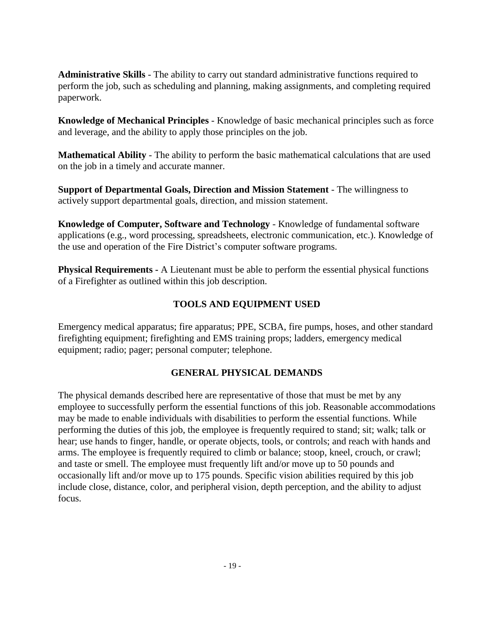**Administrative Skills** - The ability to carry out standard administrative functions required to perform the job, such as scheduling and planning, making assignments, and completing required paperwork.

**Knowledge of Mechanical Principles** - Knowledge of basic mechanical principles such as force and leverage, and the ability to apply those principles on the job.

**Mathematical Ability** - The ability to perform the basic mathematical calculations that are used on the job in a timely and accurate manner.

**Support of Departmental Goals, Direction and Mission Statement** - The willingness to actively support departmental goals, direction, and mission statement.

**Knowledge of Computer, Software and Technology** - Knowledge of fundamental software applications (e.g., word processing, spreadsheets, electronic communication, etc.). Knowledge of the use and operation of the Fire District's computer software programs.

**Physical Requirements -** A Lieutenant must be able to perform the essential physical functions of a Firefighter as outlined within this job description.

# **TOOLS AND EQUIPMENT USED**

Emergency medical apparatus; fire apparatus; PPE, SCBA, fire pumps, hoses, and other standard firefighting equipment; firefighting and EMS training props; ladders, emergency medical equipment; radio; pager; personal computer; telephone.

# **GENERAL PHYSICAL DEMANDS**

The physical demands described here are representative of those that must be met by any employee to successfully perform the essential functions of this job. Reasonable accommodations may be made to enable individuals with disabilities to perform the essential functions. While performing the duties of this job, the employee is frequently required to stand; sit; walk; talk or hear; use hands to finger, handle, or operate objects, tools, or controls; and reach with hands and arms. The employee is frequently required to climb or balance; stoop, kneel, crouch, or crawl; and taste or smell. The employee must frequently lift and/or move up to 50 pounds and occasionally lift and/or move up to 175 pounds. Specific vision abilities required by this job include close, distance, color, and peripheral vision, depth perception, and the ability to adjust focus.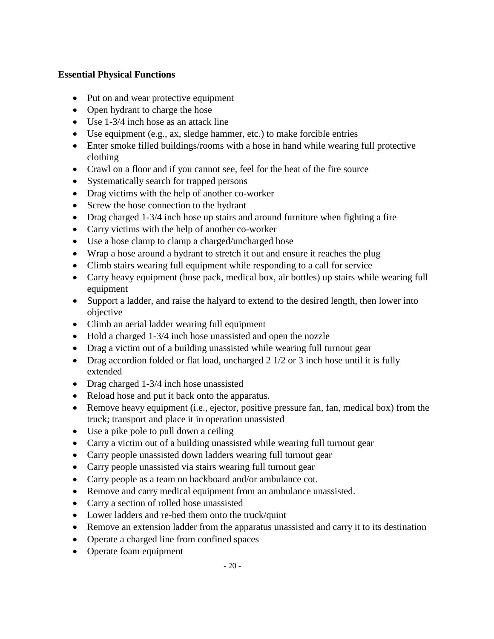#### **Essential Physical Functions**

- Put on and wear protective equipment
- Open hydrant to charge the hose
- Use 1-3/4 inch hose as an attack line
- Use equipment (e.g., ax, sledge hammer, etc.) to make forcible entries
- Enter smoke filled buildings/rooms with a hose in hand while wearing full protective clothing
- Crawl on a floor and if you cannot see, feel for the heat of the fire source
- Systematically search for trapped persons
- Drag victims with the help of another co-worker
- Screw the hose connection to the hydrant
- Drag charged 1-3/4 inch hose up stairs and around furniture when fighting a fire
- Carry victims with the help of another co-worker
- Use a hose clamp to clamp a charged/uncharged hose
- Wrap a hose around a hydrant to stretch it out and ensure it reaches the plug
- Climb stairs wearing full equipment while responding to a call for service
- Carry heavy equipment (hose pack, medical box, air bottles) up stairs while wearing full equipment
- Support a ladder, and raise the halyard to extend to the desired length, then lower into objective
- Climb an aerial ladder wearing full equipment
- Hold a charged 1-3/4 inch hose unassisted and open the nozzle
- Drag a victim out of a building unassisted while wearing full turnout gear
- Drag accordion folded or flat load, uncharged 2 1/2 or 3 inch hose until it is fully extended
- Drag charged 1-3/4 inch hose unassisted
- Reload hose and put it back onto the apparatus.
- Remove heavy equipment (i.e., ejector, positive pressure fan, fan, medical box) from the truck; transport and place it in operation unassisted
- Use a pike pole to pull down a ceiling
- Carry a victim out of a building unassisted while wearing full turnout gear
- Carry people unassisted down ladders wearing full turnout gear
- Carry people unassisted via stairs wearing full turnout gear
- Carry people as a team on backboard and/or ambulance cot.
- Remove and carry medical equipment from an ambulance unassisted.
- Carry a section of rolled hose unassisted
- Lower ladders and re-bed them onto the truck/quint
- Remove an extension ladder from the apparatus unassisted and carry it to its destination
- Operate a charged line from confined spaces
- Operate foam equipment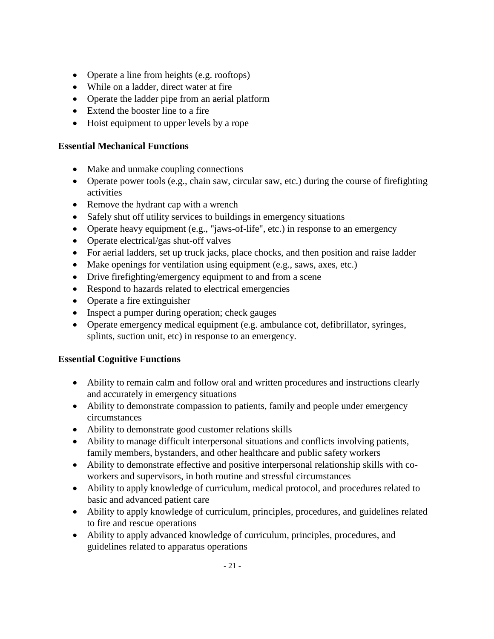- Operate a line from heights (e.g. rooftops)
- While on a ladder, direct water at fire
- Operate the ladder pipe from an aerial platform
- Extend the booster line to a fire
- Hoist equipment to upper levels by a rope

#### **Essential Mechanical Functions**

- Make and unmake coupling connections
- Operate power tools (e.g., chain saw, circular saw, etc.) during the course of firefighting activities
- Remove the hydrant cap with a wrench
- Safely shut off utility services to buildings in emergency situations
- Operate heavy equipment (e.g., "jaws-of-life", etc.) in response to an emergency
- Operate electrical/gas shut-off valves
- For aerial ladders, set up truck jacks, place chocks, and then position and raise ladder
- Make openings for ventilation using equipment (e.g., saws, axes, etc.)
- Drive firefighting/emergency equipment to and from a scene
- Respond to hazards related to electrical emergencies
- Operate a fire extinguisher
- Inspect a pumper during operation; check gauges
- Operate emergency medical equipment (e.g. ambulance cot, defibrillator, syringes, splints, suction unit, etc) in response to an emergency.

#### **Essential Cognitive Functions**

- Ability to remain calm and follow oral and written procedures and instructions clearly and accurately in emergency situations
- Ability to demonstrate compassion to patients, family and people under emergency circumstances
- Ability to demonstrate good customer relations skills
- Ability to manage difficult interpersonal situations and conflicts involving patients, family members, bystanders, and other healthcare and public safety workers
- Ability to demonstrate effective and positive interpersonal relationship skills with coworkers and supervisors, in both routine and stressful circumstances
- Ability to apply knowledge of curriculum, medical protocol, and procedures related to basic and advanced patient care
- Ability to apply knowledge of curriculum, principles, procedures, and guidelines related to fire and rescue operations
- Ability to apply advanced knowledge of curriculum, principles, procedures, and guidelines related to apparatus operations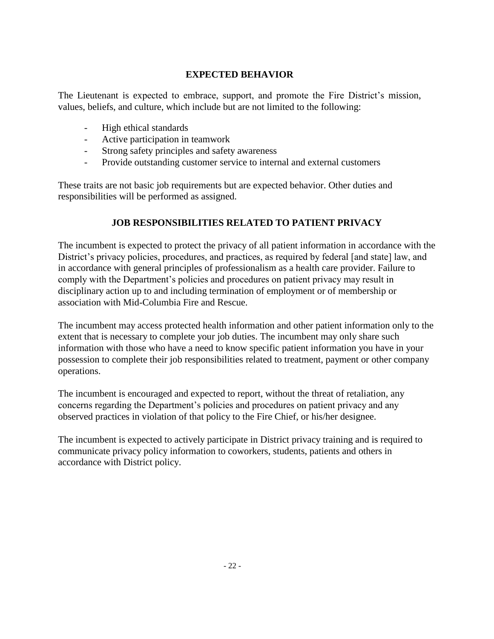#### **EXPECTED BEHAVIOR**

The Lieutenant is expected to embrace, support, and promote the Fire District's mission, values, beliefs, and culture, which include but are not limited to the following:

- High ethical standards
- Active participation in teamwork
- Strong safety principles and safety awareness
- Provide outstanding customer service to internal and external customers

These traits are not basic job requirements but are expected behavior. Other duties and responsibilities will be performed as assigned.

# **JOB RESPONSIBILITIES RELATED TO PATIENT PRIVACY**

The incumbent is expected to protect the privacy of all patient information in accordance with the District's privacy policies, procedures, and practices, as required by federal [and state] law, and in accordance with general principles of professionalism as a health care provider. Failure to comply with the Department's policies and procedures on patient privacy may result in disciplinary action up to and including termination of employment or of membership or association with Mid-Columbia Fire and Rescue.

The incumbent may access protected health information and other patient information only to the extent that is necessary to complete your job duties. The incumbent may only share such information with those who have a need to know specific patient information you have in your possession to complete their job responsibilities related to treatment, payment or other company operations.

The incumbent is encouraged and expected to report, without the threat of retaliation, any concerns regarding the Department's policies and procedures on patient privacy and any observed practices in violation of that policy to the Fire Chief, or his/her designee.

The incumbent is expected to actively participate in District privacy training and is required to communicate privacy policy information to coworkers, students, patients and others in accordance with District policy.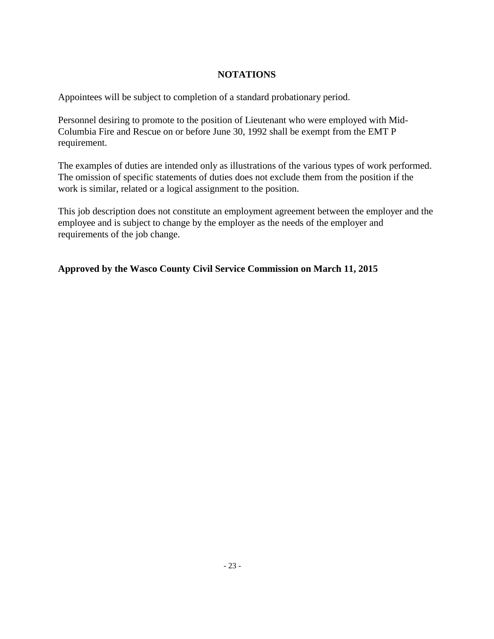#### **NOTATIONS**

Appointees will be subject to completion of a standard probationary period.

Personnel desiring to promote to the position of Lieutenant who were employed with Mid-Columbia Fire and Rescue on or before June 30, 1992 shall be exempt from the EMT P requirement.

The examples of duties are intended only as illustrations of the various types of work performed. The omission of specific statements of duties does not exclude them from the position if the work is similar, related or a logical assignment to the position.

This job description does not constitute an employment agreement between the employer and the employee and is subject to change by the employer as the needs of the employer and requirements of the job change.

#### **Approved by the Wasco County Civil Service Commission on March 11, 2015**